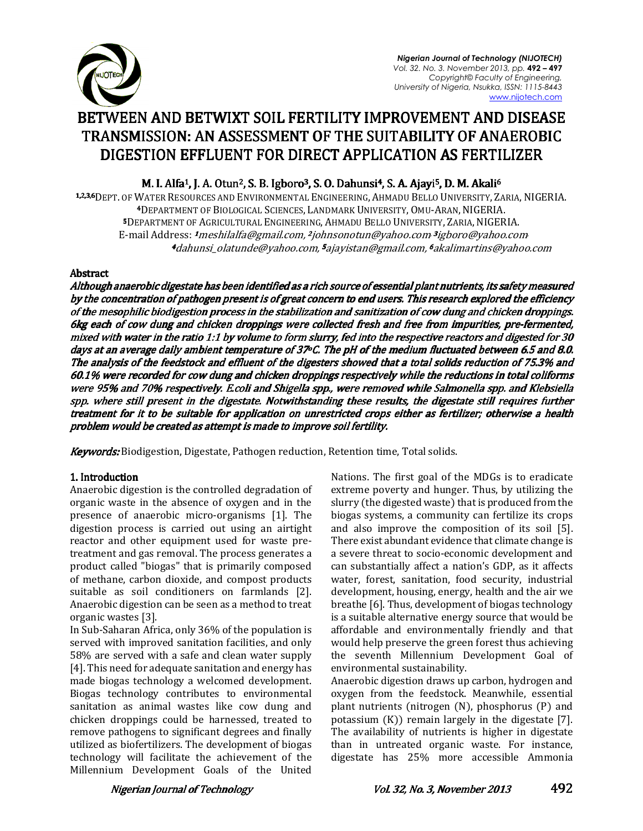

*Nigerian Journal of Technology (NIJOTECH) Vol. 32. No. 3. November 2013, pp.* **492 – 497**  *Copyright© Faculty of Engineering, University of Nigeria, Nsukka, ISSN: 1115-8443*  www.nijotech.com

# BETWEEN AND BETWIXT SOIL FERTILITY IMPROVEMENT AND DISEASE TRANSMISSION: AN ASSESSMENT OF THE SUITABILITY OF ANAEROBIC DIGESTION EFFLUENT FOR DIRECT APPLICATION AS FERTILIZER

M. I. Alfa<sup>1</sup>, J. A. Otun<sup>2</sup>, S. B. Igboro<sup>3</sup>, S. O. Dahunsi<sup>4</sup>, S. A. Ajayi<sup>5</sup>, D. M. Akali<sup>6</sup>

1.2.3.6 DEPT. OF WATER RESOURCES AND ENVIRONMENTAL ENGINEERING, AHMADU BELLO UNIVERSITY, ZARIA, NIGERIA. <sup>4</sup>DEPARTMENT OF BIOLOGICAL SCIENCES, LANDMARK UNIVERSITY, OMU-ARAN, NIGERIA. 5DEPARTMENT OF AGRICULTURAL ENGINEERING, AHMADU BELLO UNIVERSITY, ZARIA, NIGERIA. E-mail Address: *1 meshilalfa@gmail.com, 2 johnsonotun@yahoo.com<sup>, 3</sup>igboro@yahoo.com* <sup>4</sup>dahunsi\_olatunde@yahoo.com, <sup>5</sup>ajayistan@gmail.com, <sup>6</sup>akalimartins@yahoo.com

## Abstract

Although anaerobic digestate has been identified as a rich source of essential plant nutrients, its safety measured by the concentration of pathogen present is of great concern to end users. This research explored the efficiency of the mesophilic biodigestion process in the stabilization and sanitization of cow dung and chicken droppings. 6kg each of cow dung and chicken droppings were collected fresh and free from impurities, pre-fermented, mixed with water in the ratio 1:1 by volume to form slurry, fed into the respective reactors and digested for 30 days at an average daily ambient temperature of 37  $c$ . The pH of the medium fluctuated between 6.5 and 8.0. The analysis of the feedstock and effluent of the digesters showed that a total solids reduction of 75.3% and 60.1% were recorded for cow dung and chicken droppings respectively while the reductions in total coliforms were 95% and 70% respectively. E.coli and Shigella spp., were removed while Salmonella spp. and Klebsiella spp. where still present in the digestate. Notwithstanding these results, the digestate still requires further treatment for it to be suitable for application on unrestricted crops either as fertilizer; otherwise a health problem would be created as attempt is made to improve soil fertility.

Keywords: Biodigestion, Digestate, Pathogen reduction, Retention time, Total solids.

## 1. Introduction

Anaerobic digestion is the controlled degradation of organic waste in the absence of oxygen and in the presence of anaerobic micro-organisms [1]. The digestion process is carried out using an airtight reactor and other equipment used for waste pretreatment and gas removal. The process generates a product called "biogas" that is primarily composed of methane, carbon dioxide, and compost products suitable as soil conditioners on farmlands [2]. Anaerobic digestion can be seen as a method to treat organic wastes [3].

In Sub-Saharan Africa, only 36% of the population is served with improved sanitation facilities, and only 58% are served with a safe and clean water supply [4]. This need for adequate sanitation and energy has made biogas technology a welcomed development. Biogas technology contributes to environmental sanitation as animal wastes like cow dung and chicken droppings could be harnessed, treated to remove pathogens to significant degrees and finally utilized as biofertilizers. The development of biogas technology will facilitate the achievement of the Millennium Development Goals of the United Nations. The first goal of the MDGs is to eradicate extreme poverty and hunger. Thus, by utilizing the slurry (the digested waste) that is produced from the biogas systems, a community can fertilize its crops and also improve the composition of its soil [5]. There exist abundant evidence that climate change is a severe threat to socio-economic development and can substantially affect a nation's GDP, as it affects water, forest, sanitation, food security, industrial development, housing, energy, health and the air we breathe [6]. Thus, development of biogas technology is a suitable alternative energy source that would be affordable and environmentally friendly and that would help preserve the green forest thus achieving the seventh Millennium Development Goal of environmental sustainability.

Anaerobic digestion draws up carbon, hydrogen and oxygen from the feedstock. Meanwhile, essential plant nutrients (nitrogen (N), phosphorus (P) and potassium (K)) remain largely in the digestate [7]. The availability of nutrients is higher in digestate than in untreated organic waste. For instance, digestate has 25% more accessible Ammonia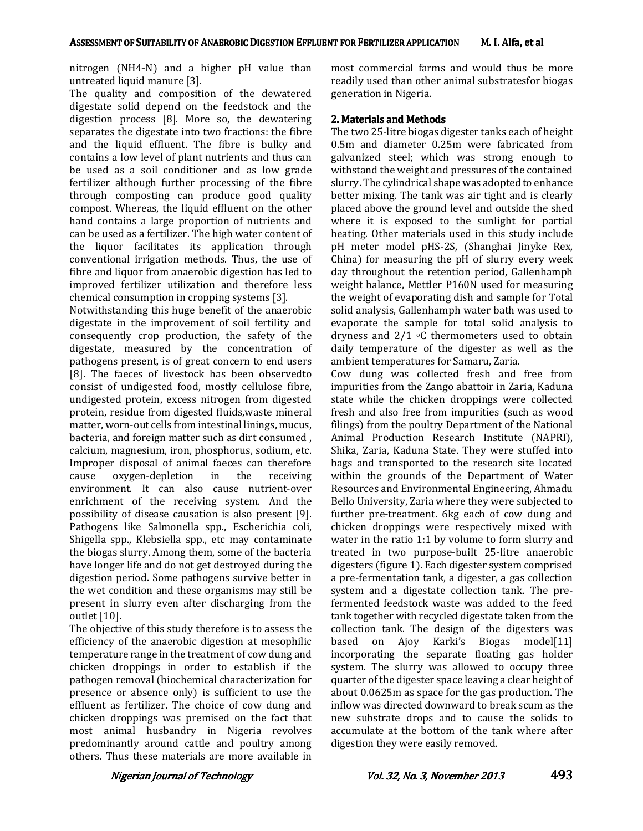nitrogen (NH4-N) and a higher pH value than untreated liquid manure [3].

The quality and composition of the dewatered digestate solid depend on the feedstock and the digestion process [8]. More so, the dewatering separates the digestate into two fractions: the fibre and the liquid effluent. The fibre is bulky and contains a low level of plant nutrients and thus can be used as a soil conditioner and as low grade fertilizer although further processing of the fibre through composting can produce good quality compost. Whereas, the liquid effluent on the other hand contains a large proportion of nutrients and can be used as a fertilizer. The high water content of the liquor facilitates its application through conventional irrigation methods. Thus, the use of fibre and liquor from anaerobic digestion has led to improved fertilizer utilization and therefore less chemical consumption in cropping systems [3].

Notwithstanding this huge benefit of the anaerobic digestate in the improvement of soil fertility and consequently crop production, the safety of the digestate, measured by the concentration of pathogens present, is of great concern to end users [8]. The faeces of livestock has been observedto consist of undigested food, mostly cellulose fibre, undigested protein, excess nitrogen from digested protein, residue from digested fluids,waste mineral matter, worn-out cells from intestinal linings, mucus, bacteria, and foreign matter such as dirt consumed , calcium, magnesium, iron, phosphorus, sodium, etc. Improper disposal of animal faeces can therefore cause oxygen-depletion in the receiving environment. It can also cause nutrient-over enrichment of the receiving system. And the possibility of disease causation is also present [9]. Pathogens like Salmonella spp., Escherichia coli, Shigella spp., Klebsiella spp., etc may contaminate the biogas slurry. Among them, some of the bacteria have longer life and do not get destroyed during the digestion period. Some pathogens survive better in the wet condition and these organisms may still be present in slurry even after discharging from the outlet [10].

The objective of this study therefore is to assess the efficiency of the anaerobic digestion at mesophilic temperature range in the treatment of cow dung and chicken droppings in order to establish if the pathogen removal (biochemical characterization for presence or absence only) is sufficient to use the effluent as fertilizer. The choice of cow dung and chicken droppings was premised on the fact that most animal husbandry in Nigeria revolves predominantly around cattle and poultry among others. Thus these materials are more available in

most commercial farms and would thus be more readily used than other animal substratesfor biogas generation in Nigeria.

## 2. Materials and Methods

The two 25-litre biogas digester tanks each of height 0.5m and diameter 0.25m were fabricated from galvanized steel; which was strong enough to withstand the weight and pressures of the contained slurry. The cylindrical shape was adopted to enhance better mixing. The tank was air tight and is clearly placed above the ground level and outside the shed where it is exposed to the sunlight for partial heating. Other materials used in this study include pH meter model pHS-2S, (Shanghai Jinyke Rex, China) for measuring the pH of slurry every week day throughout the retention period, Gallenhamph weight balance, Mettler P160N used for measuring the weight of evaporating dish and sample for Total solid analysis, Gallenhamph water bath was used to evaporate the sample for total solid analysis to dryness and  $2/1$  °C thermometers used to obtain daily temperature of the digester as well as the ambient temperatures for Samaru, Zaria.

Cow dung was collected fresh and free from impurities from the Zango abattoir in Zaria, Kaduna state while the chicken droppings were collected fresh and also free from impurities (such as wood filings) from the poultry Department of the National Animal Production Research Institute (NAPRI), Shika, Zaria, Kaduna State. They were stuffed into bags and transported to the research site located within the grounds of the Department of Water Resources and Environmental Engineering, Ahmadu Bello University, Zaria where they were subjected to further pre-treatment. 6kg each of cow dung and chicken droppings were respectively mixed with water in the ratio 1:1 by volume to form slurry and treated in two purpose-built 25-litre anaerobic digesters (figure 1). Each digester system comprised a pre-fermentation tank, a digester, a gas collection system and a digestate collection tank. The prefermented feedstock waste was added to the feed tank together with recycled digestate taken from the collection tank. The design of the digesters was based on Ajoy Karki's Biogas model[11] incorporating the separate floating gas holder system. The slurry was allowed to occupy three quarter of the digester space leaving a clear height of about 0.0625m as space for the gas production. The inflow was directed downward to break scum as the new substrate drops and to cause the solids to accumulate at the bottom of the tank where after digestion they were easily removed.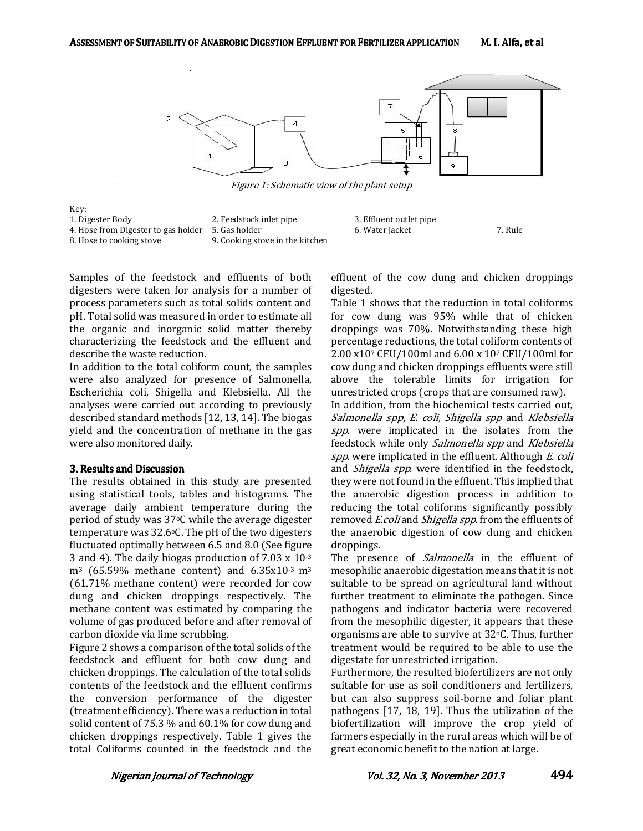

Figure 1: Schematic view of the plant setup



Samples of the feedstock and effluents of both digesters were taken for analysis for a number of process parameters such as total solids content and pH. Total solid was measured in order to estimate all the organic and inorganic solid matter thereby characterizing the feedstock and the effluent and describe the waste reduction.

In addition to the total coliform count, the samples were also analyzed for presence of Salmonella, Escherichia coli, Shigella and Klebsiella. All the analyses were carried out according to previously described standard methods [12, 13, 14]. The biogas yield and the concentration of methane in the gas were also monitored daily.

### 3. Results and Discussion

The results obtained in this study are presented using statistical tools, tables and histograms. The average daily ambient temperature during the period of study was 37oC while the average digester temperature was  $32.6$ °C. The pH of the two digesters fluctuated optimally between 6.5 and 8.0 (See figure 3 and 4). The daily biogas production of 7.03 x 10-3  $m^3$  (65.59% methane content) and 6.35x10 $\cdot$ 3 m<sup>3</sup> (61.71% methane content) were recorded for cow dung and chicken droppings respectively. The methane content was estimated by comparing the volume of gas produced before and after removal of carbon dioxide via lime scrubbing.

Figure 2 shows a comparison of the total solids of the feedstock and effluent for both cow dung and chicken droppings. The calculation of the total solids contents of the feedstock and the effluent confirms the conversion performance of the digester (treatment efficiency). There was a reduction in total solid content of 75.3 % and 60.1% for cow dung and chicken droppings respectively. Table 1 gives the total Coliforms counted in the feedstock and the

effluent of the cow dung and chicken droppings digested.

Table 1 shows that the reduction in total coliforms for cow dung was 95% while that of chicken droppings was 70%. Notwithstanding these high percentage reductions, the total coliform contents of 2.00 x107 CFU/100ml and 6.00 x 107 CFU/100ml for cow dung and chicken droppings effluents were still above the tolerable limits for irrigation for unrestricted crops (crops that are consumed raw).

In addition, from the biochemical tests carried out, Salmonella spp, E. coli, Shigella spp and Klebsiella spp. were implicated in the isolates from the feedstock while only Salmonella spp and Klebsiella spp. were implicated in the effluent. Although E. coli and Shigella spp. were identified in the feedstock, they were not found in the effluent. This implied that the anaerobic digestion process in addition to reducing the total coliforms significantly possibly removed E.coli and Shigella spp. from the effluents of the anaerobic digestion of cow dung and chicken droppings.

The presence of *Salmonella* in the effluent of mesophilic anaerobic digestation means that it is not suitable to be spread on agricultural land without further treatment to eliminate the pathogen. Since pathogens and indicator bacteria were recovered from the mesophilic digester, it appears that these organisms are able to survive at 32°C. Thus, further treatment would be required to be able to use the digestate for unrestricted irrigation.

Furthermore, the resulted biofertilizers are not only suitable for use as soil conditioners and fertilizers, but can also suppress soil-borne and foliar plant pathogens [17, 18, 19]. Thus the utilization of the biofertilization will improve the crop yield of farmers especially in the rural areas which will be of great economic benefit to the nation at large.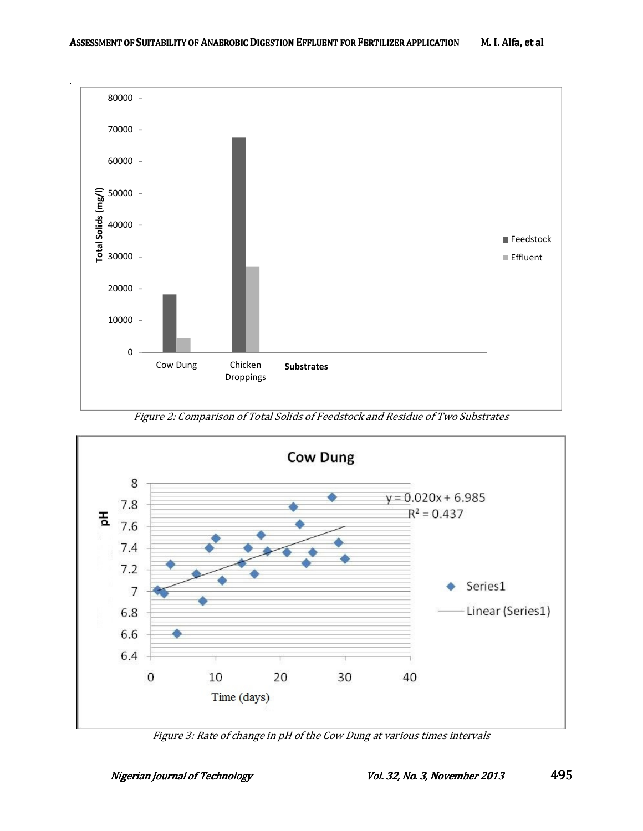

Figure 2: Comparison of Total Solids of Feedstock and Residue of Two Substrates



Figure 3: Rate of change in pH of the Cow Dung at various times intervals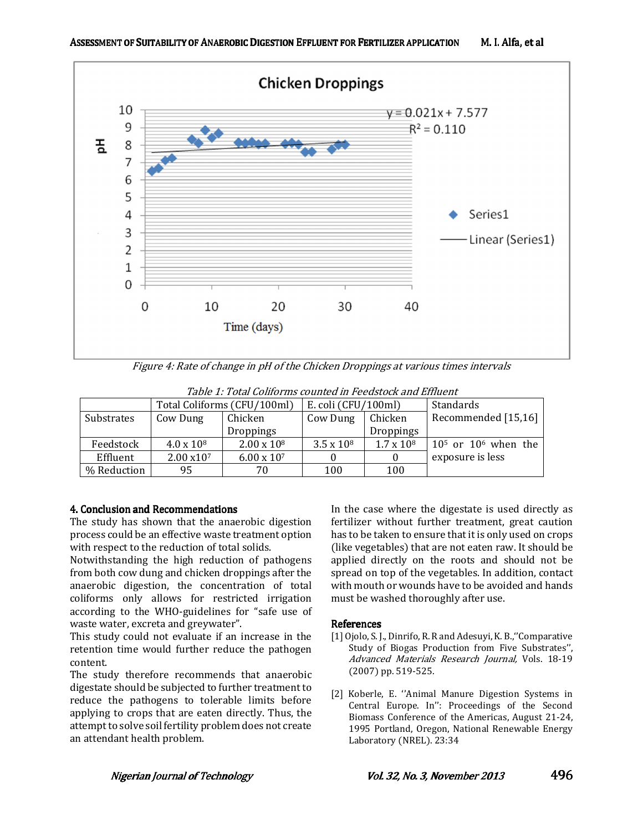

Figure 4: Rate of change in pH of the Chicken Droppings at various times intervals

| таріс 1, тоца солістів соцінса ін і сеаріоскана вінасін |                             |                      |                       |                   |                         |
|---------------------------------------------------------|-----------------------------|----------------------|-----------------------|-------------------|-------------------------|
|                                                         | Total Coliforms (CFU/100ml) |                      | E. coli $(CFU/100ml)$ |                   | Standards               |
| Substrates                                              | Cow Dung                    | Chicken              | Cow Dung              | Chicken           | Recommended [15,16]     |
|                                                         |                             | <b>Droppings</b>     |                       | <b>Droppings</b>  |                         |
| Feedstock                                               | $4.0 \times 10^8$           | $2.00 \times 10^8$   | $3.5 \times 10^8$     | $1.7 \times 10^8$ | $105$ or $106$ when the |
| Effluent                                                | $2.00 \times 10^7$          | $6.00 \times 10^{7}$ |                       |                   | exposure is less        |
| % Reduction                                             | 95                          | 70                   | 100                   | 100               |                         |

Table 1: Total Coliforms counted in Feedstock and Effluent

## 4. Conclusion and Recommendations

The study has shown that the anaerobic digestion process could be an effective waste treatment option with respect to the reduction of total solids.

Notwithstanding the high reduction of pathogens from both cow dung and chicken droppings after the anaerobic digestion, the concentration of total coliforms only allows for restricted irrigation according to the WHO-guidelines for "safe use of waste water, excreta and greywater".

This study could not evaluate if an increase in the retention time would further reduce the pathogen content.

The study therefore recommends that anaerobic digestate should be subjected to further treatment to reduce the pathogens to tolerable limits before applying to crops that are eaten directly. Thus, the attempt to solve soil fertility problem does not create an attendant health problem.

In the case where the digestate is used directly as fertilizer without further treatment, great caution has to be taken to ensure that it is only used on crops (like vegetables) that are not eaten raw. It should be applied directly on the roots and should not be spread on top of the vegetables. In addition, contact with mouth or wounds have to be avoided and hands must be washed thoroughly after use.

### **References**

- [1] Ojolo, S. J., Dinrifo, R. R and Adesuyi, K. B.,''Comparative Study of Biogas Production from Five Substrates'', Advanced Materials Research Journal, Vols. 18-19 (2007) pp. 519-525.
- [2] Koberle, E. "Animal Manure Digestion Systems in Central Europe. In'': Proceedings of the Second Biomass Conference of the Americas, August 21-24, 1995 Portland, Oregon, National Renewable Energy Laboratory (NREL). 23:34